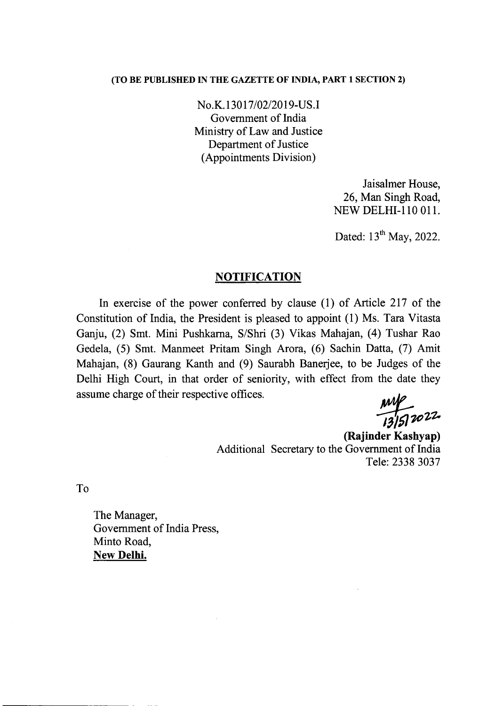### (TO BE PUBLISHED IN THE GAZETTE OF INDIA, PART 1 SECTION 2)

*No.K.l3017/02/2019-US.I* Government of India Ministry of Law and Justice Department of Justice (Appointments Division)

> Jaisalmer House, 26, Man Singh Road, NEW DELHI-II0 OIl.

> Dated: 13<sup>th</sup> May, 2022.

# **NOTIFICATION**

In exercise of the power conferred by clause (1) of Article 217 of the Constitution of India, the President is pleased to appoint (1) Ms. Tara Vitasta Ganju, (2) Smt. Mini Pushkarna, S/Shri (3) Vikas Mahajan, (4) Tushar Rao Gedela, (5) Smt. Manmeet Pritam Singh Arora, (6) Sachin Datta, (7) Amit Mahajan, (8) Gaurang Kanth and (9) Saurabh Banerjee, to be Judges of the Delhi High Court, in that order of seniority, with effect from the date they assume charge of their respective offices.

my<br>131512022

(Rajinder Kashyap) Additional Secretary to the Government of India Tele: 2338 3037

To

The Manager, Government of India Press, Minto Road, New Delhi.